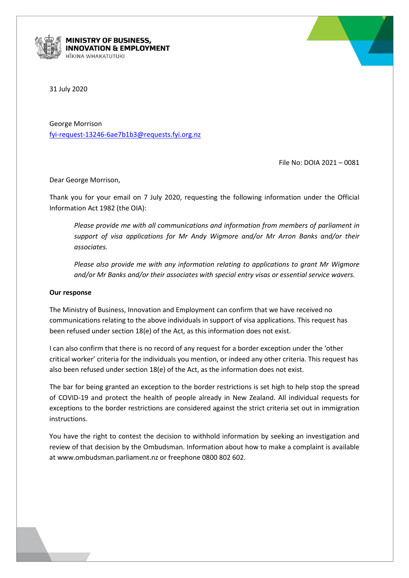

**MINISTRY OF BUSINESS, INOVATION & EMPLOYMENT** *IKINA WHAKATUTUKI* 



31 July 2020

George Morrison [fyi-request-13246-6ae7b1b3@requests.fyi.org.nz](mailto:xxxxxxxxxxxxxxxxxxxxxxxxxx@xxxxxxxx.xxx.xxx.xx)

File No: DOIA 2021 – 0081

Dear George Morrison,

Thank you for your email on 7 July 2020, requesting the following information under the Official Information Act 1982 (the OIA):

*Please provide me with all communications and information from members of parliament in support of visa applications for Mr Andy Wigmore and/or Mr Arron Banks and/or their associates.* 

*Please also provide me with any information relating to applications to grant Mr Wigmore and/or Mr Banks and/or their associates with special entry visas or essential service wavers.*

## **Our response**

The Ministry of Business, Innovation and Employment can confirm that we have received no communications relating to the above individuals in support of visa applications. This request has been refused under section 18(e) of the Act, as this information does not exist.

I can also confirm that there is no record of any request for a border exception under the 'other critical worker' criteria for the individuals you mention, or indeed any other criteria. This request has also been refused under section 18(e) of the Act, as the information does not exist.

The bar for being granted an exception to the border restrictions is set high to help stop the spread of COVID-19 and protect the health of people already in New Zealand. All individual requests for exceptions to the border restrictions are considered against the strict criteria set out in immigration instructions.

You have the right to contest the decision to withhold information by seeking an investigation and review of that decision by the Ombudsman. Information about how to make a complaint is available at www.ombudsman.parliament.nz or freephone 0800 802 602.